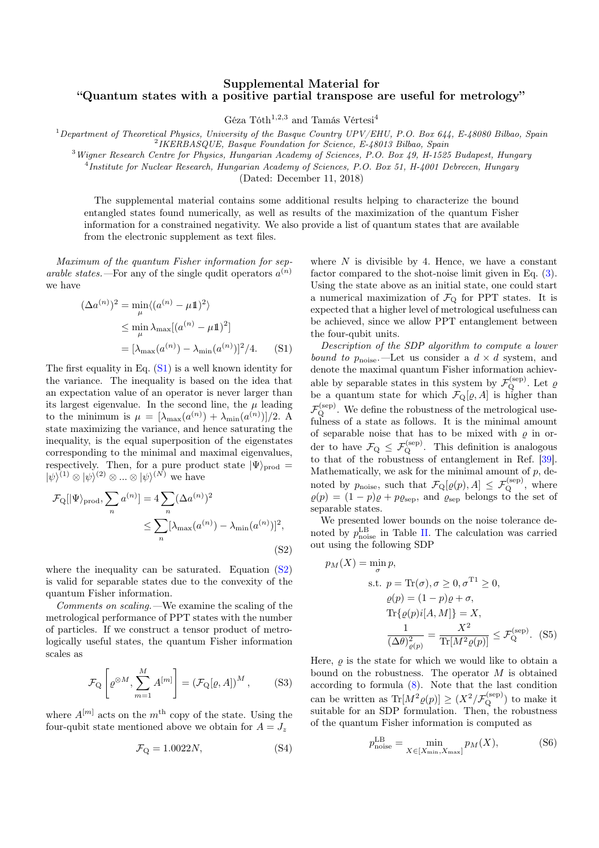## Supplemental Material for "Quantum states with a positive partial transpose are useful for metrology"

Géza Tóth<sup>1,2,3</sup> and Tamás Vértesi<sup>4</sup>

<sup>1</sup>Department of Theoretical Physics, University of the Basque Country  $UPV/EHU$ , P.O. Box 644, E-48080 Bilbao, Spain<br><sup>2</sup>IKERBASQUE, Basque Foundation for Science, E-48013 Bilbao, Spain<br><sup>3</sup>Wigner Research Centre for Physics

<sup>4</sup>*Institute for Nuclear Research, Hungarian Academy of Sciences, P.O. Box 51, H-4001 Debrecen, Hungary*

(Dated: December 11, 2018)

The supplemental material contains some additional results helping to characterize the bound entangled states found numerically, as well as results of the maximization of the quantum Fisher information for a constrained negativity. We also provide a list of quantum states that are available from the electronic supplement as text files.

*Maximum of the quantum Fisher information for separable states.*—For any of the single qudit operators  $a^{(n)}$ we have

$$
(\Delta a^{(n)})^2 = \min_{\mu} \langle (a^{(n)} - \mu \mathbb{1})^2 \rangle
$$
  
\n
$$
\leq \min_{\mu} \lambda_{\max} [(a^{(n)} - \mu \mathbb{1})^2]
$$
  
\n
$$
= [\lambda_{\max}(a^{(n)}) - \lambda_{\min}(a^{(n)})]^2/4.
$$
 (S1)

The first equality in Eq. (S1) is a well known identity for the variance. The inequality is based on the idea that an expectation value of an operator is never larger than its largest eigenvalue. In the second line, the  $\mu$  leading to the minimum is  $\mu = [\lambda_{\max}(a^{(n)}) + \lambda_{\min}(a^{(n)})]/2$ . A state maximizing the variance, and hence saturating the inequality, is the equal superposition of the eigenstates corresponding to the minimal and maximal eigenvalues, respectively. Then, for a pure product state  $|\Psi\rangle_{\text{prod}} =$  $|\psi\rangle^{(1)} \otimes |\psi\rangle^{(2)} \otimes ... \otimes |\psi\rangle^{(N)}$  we have

$$
\mathcal{F}_{Q}[\vert \Psi \rangle_{\text{prod}}, \sum_{n} a^{(n)}] = 4 \sum_{n} (\Delta a^{(n)})^2
$$
  

$$
\leq \sum_{n} [\lambda_{\max}(a^{(n)}) - \lambda_{\min}(a^{(n)})]^2,
$$
  
(S2)

where the inequality can be saturated. Equation  $(S2)$ is valid for separable states due to the convexity of the quantum Fisher information.

*Comments on scaling.—*We examine the scaling of the metrological performance of PPT states with the number of particles. If we construct a tensor product of metrologically useful states, the quantum Fisher information scales as

$$
\mathcal{F}_{\mathcal{Q}}\left[\varrho^{\otimes M}, \sum_{m=1}^{M} A^{[m]}\right] = \left(\mathcal{F}_{\mathcal{Q}}[\varrho, A]\right)^{M},\tag{S3}
$$

where  $A^{[m]}$  acts on the  $m^{\text{th}}$  copy of the state. Using the four-qubit state mentioned above we obtain for  $A = J_z$ 

$$
\mathcal{F}_{Q} = 1.0022N, \tag{S4}
$$

where  $N$  is divisible by 4. Hence, we have a constant factor compared to the shot-noise limit given in Eq. (3). Using the state above as an initial state, one could start a numerical maximization of  $\mathcal{F}_{Q}$  for PPT states. It is expected that a higher level of metrological usefulness can be achieved, since we allow PPT entanglement between the four-qubit units.

*Description of the SDP algorithm to compute a lower bound to*  $p_{\text{noise}}$ . —Let us consider a  $d \times d$  system, and denote the maximal quantum Fisher information achievable by separable states in this system by  $\mathcal{F}_{Q}^{(\text{sep})}$ . Let  $\varrho$ be a quantum state for which  $\mathcal{F}_{\mathbf{Q}}[\varrho, A]$  is higher than  $\mathcal{F}_Q^{(\mathrm{sep})}$ . We define the robustness of the metrological usefulness of a state as follows. It is the minimal amount of separable noise that has to be mixed with  $\rho$  in order to have  $\mathcal{F}_{Q} \leq \mathcal{F}_{Q}^{\text{(sep)}}$ . This definition is analogous to that of the robustness of entanglement in Ref. [39]. Mathematically, we ask for the minimal amount of  $p$ , denoted by  $p_{\text{noise}}$ , such that  $\mathcal{F}_{\mathbf{Q}}[\varrho(p), A] \leq \mathcal{F}_{\mathbf{Q}}^{(\text{sep})}$ , where  $\varrho(p) = (1 - p)\varrho + p\varrho_{\text{sep}}$ , and  $\varrho_{\text{sep}}$  belongs to the set of separable states.

We presented lower bounds on the noise tolerance denoted by  $p_{\text{noise}}^{\text{LB}}$  in Table II. The calculation was carried out using the following SDP

$$
p_M(X) = \min_{\sigma} p,
$$
  
s.t.  $p = \text{Tr}(\sigma), \sigma \ge 0, \sigma^{\text{T1}} \ge 0,$   

$$
\varrho(p) = (1 - p)\varrho + \sigma,
$$
  

$$
\text{Tr}\{\varrho(p)i[A, M]\} = X,
$$
  

$$
\frac{1}{(\Delta \theta)_{\varrho(p)}^2} = \frac{X^2}{\text{Tr}[M^2 \varrho(p)]} \le \mathcal{F}_{\text{Q}}^{\text{(sep)}}. \tag{S5}
$$

Here,  $\rho$  is the state for which we would like to obtain a bound on the robustness. The operator *M* is obtained according to formula (8). Note that the last condition can be written as  $\text{Tr}[M^2 \varrho(p)] \geq (X^2/\mathcal{F}_Q^{\text{(sep)}})$  to make it suitable for an SDP formulation. Then, the robustness of the quantum Fisher information is computed as

$$
p_{\text{noise}}^{\text{LB}} = \min_{X \in [X_{\text{min}}, X_{\text{max}}]} p_M(X), \tag{S6}
$$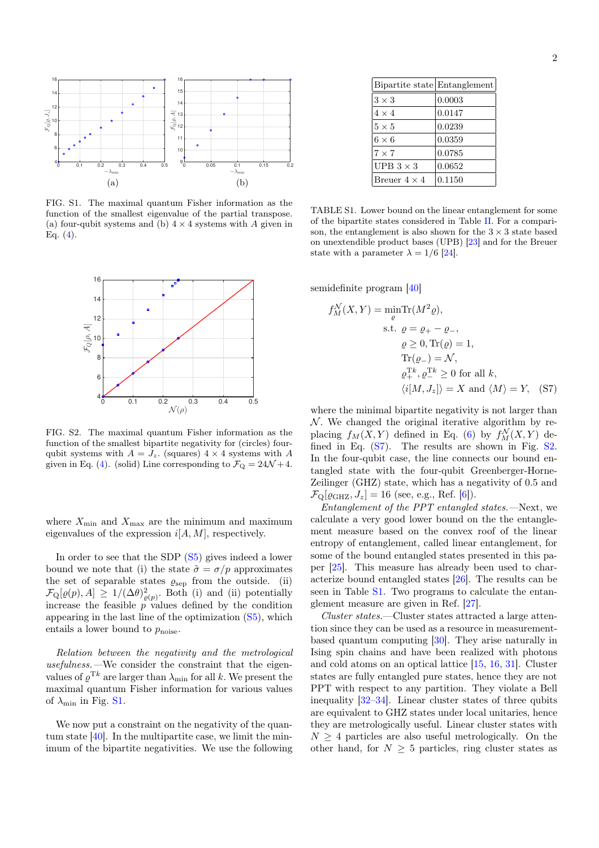

FIG. S1. The maximal quantum Fisher information as the function of the smallest eigenvalue of the partial transpose. (a) four-qubit systems and (b)  $4 \times 4$  systems with *A* given in Eq.  $(4)$ .



FIG. S2. The maximal quantum Fisher information as the function of the smallest bipartite negativity for (circles) fourqubit systems with  $A = J_z$ . (squares)  $4 \times 4$  systems with A given in Eq. (4). (solid) Line corresponding to  $\mathcal{F}_{Q} = 24\mathcal{N} + 4$ .

where  $X_{\text{min}}$  and  $X_{\text{max}}$  are the minimum and maximum eigenvalues of the expression *i*[*A, M*]*,* respectively.

In order to see that the SDP (S5) gives indeed a lower bound we note that (i) the state  $\tilde{\sigma} = \sigma / p$  approximates the set of separable states  $\varrho_{\rm sep}$  from the outside. (ii)  $\mathcal{F}_{\mathbf{Q}}[\varrho(p), A] \geq 1/(\Delta \theta)_{\varrho(p)}^2$ . Both (i) and (ii) potentially increase the feasible  $p^{\alpha}$  values defined by the condition appearing in the last line of the optimization (S5), which entails a lower bound to  $p_{\text{noise}}$ .

*Relation between the negativity and the metrological usefulness.—*We consider the constraint that the eigenvalues of  $\varrho^{\text{T}k}$  are larger than  $\lambda_{\min}$  for all *k*. We present the maximal quantum Fisher information for various values of  $\lambda_{\min}$  in Fig. S1.

We now put a constraint on the negativity of the quantum state [40]. In the multipartite case, we limit the minimum of the bipartite negativities. We use the following

| Bipartite state Entanglement |        |
|------------------------------|--------|
| $3\times 3$                  | 0.0003 |
| $4 \times 4$                 | 0.0147 |
| $5 \times 5$                 | 0.0239 |
| $6 \times 6$                 | 0.0359 |
| $7\times7$                   | 0.0785 |
| UPB $3 \times 3$             | 0.0652 |
| Breuer $4 \times 4$          | 0.1150 |
|                              |        |

TABLE S1. Lower bound on the linear entanglement for some of the bipartite states considered in Table II. For a comparison, the entanglement is also shown for the  $3 \times 3$  state based on unextendible product bases (UPB) [23] and for the Breuer state with a parameter  $\lambda = 1/6$  [24].

semidefinite program [40]

$$
f_M^{\mathcal{N}}(X, Y) = \min_{\varrho} \text{Tr}(M^2 \varrho),
$$
  
s.t.  $\varrho = \varrho_+ - \varrho_-,$   
 $\varrho \ge 0, \text{Tr}(\varrho) = 1,$   
 $\text{Tr}(\varrho_-) = \mathcal{N},$   
 $\varrho_+^{\text{Tk}}, \varrho_-^{\text{Tk}} \ge 0 \text{ for all } k,$   
 $\langle i[M, J_z] \rangle = X \text{ and } \langle M \rangle = Y, \quad (S7)$ 

where the minimal bipartite negativity is not larger than *N*. We changed the original iterative algorithm by replacing  $f_M(X, Y)$  defined in Eq. (6) by  $f_M^N(X, Y)$  defined in Eq. (S7). The results are shown in Fig. S2. In the four-qubit case, the line connects our bound entangled state with the four-qubit Greenberger-Horne-Zeilinger (GHZ) state, which has a negativity of 0.5 and  $\mathcal{F}_{\text{Q}}[\varrho_{\text{GHZ}}, J_z] = 16$  (see, e.g., Ref. [6]).

*Entanglement of the PPT entangled states.—*Next, we calculate a very good lower bound on the the entanglement measure based on the convex roof of the linear entropy of entanglement, called linear entanglement, for some of the bound entangled states presented in this paper [25]. This measure has already been used to characterize bound entangled states [26]. The results can be seen in Table S1. Two programs to calculate the entanglement measure are given in Ref. [27].

*Cluster states.*—Cluster states attracted a large attention since they can be used as a resource in measurementbased quantum computing [30]. They arise naturally in Ising spin chains and have been realized with photons and cold atoms on an optical lattice [15, 16, 31]. Cluster states are fully entangled pure states, hence they are not PPT with respect to any partition. They violate a Bell inequality [32–34]. Linear cluster states of three qubits are equivalent to GHZ states under local unitaries, hence they are metrologically useful. Linear cluster states with  $N \geq 4$  particles are also useful metrologically. On the other hand, for  $N \geq 5$  particles, ring cluster states as